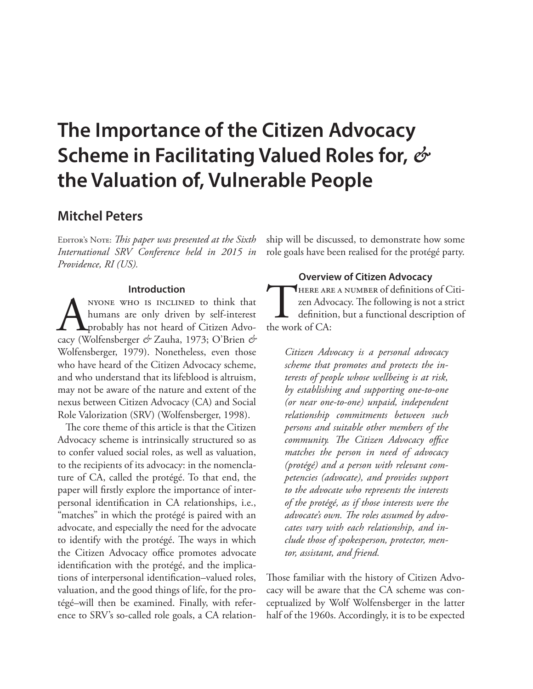# **The Importance of the Citizen Advocacy Scheme in Facilitating Valued Roles for,** *&* **the Valuation of, Vulnerable People**

## **Mitchel Peters**

EDITOR'S NOTE: *This paper was presented at the Sixth International SRV Conference held in 2015 in Providence, RI (US).*

#### **Introduction**

NYONE WHO IS INCLINED to think that<br>humans are only driven by self-interest<br>probably has not heard of Citizen Advo-<br>cacy (Wolfensberger & Zauha, 1973; O'Brien & humans are only driven by self-interest probably has not heard of Citizen Advocacy (Wolfensberger *&* Zauha, 1973; O'Brien *&* Wolfensberger, 1979). Nonetheless, even those who have heard of the Citizen Advocacy scheme, and who understand that its lifeblood is altruism, may not be aware of the nature and extent of the nexus between Citizen Advocacy (CA) and Social Role Valorization (SRV) (Wolfensberger, 1998).

The core theme of this article is that the Citizen Advocacy scheme is intrinsically structured so as to confer valued social roles, as well as valuation, to the recipients of its advocacy: in the nomenclature of CA, called the protégé. To that end, the paper will firstly explore the importance of interpersonal identification in CA relationships, i.e., "matches" in which the protégé is paired with an advocate, and especially the need for the advocate to identify with the protégé. The ways in which the Citizen Advocacy office promotes advocate identification with the protégé, and the implications of interpersonal identification–valued roles, valuation, and the good things of life, for the protégé–will then be examined. Finally, with reference to SRV's so-called role goals, a CA relationship will be discussed, to demonstrate how some role goals have been realised for the protégé party.

#### **Overview of Citizen Advocacy**

THERE ARE A NUMBER of definitions of Citizen Advocacy. The following is not a strict definition, but a functional description of the work of CA: zen Advocacy. The following is not a strict definition, but a functional description of the work of CA:

*Citizen Advocacy is a personal advocacy scheme that promotes and protects the interests of people whose wellbeing is at risk, by establishing and supporting one-to-one (or near one-to-one) unpaid, independent relationship commitments between such persons and suitable other members of the community. The Citizen Advocacy office matches the person in need of advocacy (protégé) and a person with relevant competencies (advocate), and provides support to the advocate who represents the interests of the protégé, as if those interests were the advocate's own. The roles assumed by advocates vary with each relationship, and include those of spokesperson, protector, mentor, assistant, and friend.*

Those familiar with the history of Citizen Advocacy will be aware that the CA scheme was conceptualized by Wolf Wolfensberger in the latter half of the 1960s. Accordingly, it is to be expected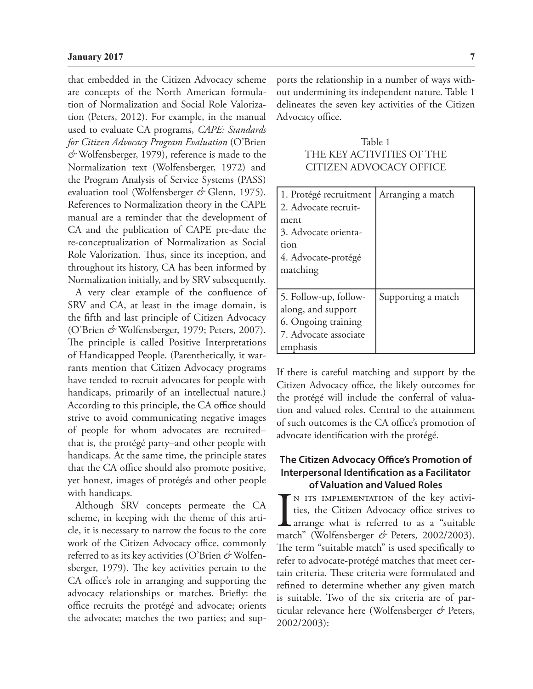that embedded in the Citizen Advocacy scheme are concepts of the North American formulation of Normalization and Social Role Valorization (Peters, 2012). For example, in the manual used to evaluate CA programs, *CAPE: Standards for Citizen Advocacy Program Evaluation* (O'Brien *&* Wolfensberger, 1979), reference is made to the Normalization text (Wolfensberger, 1972) and the Program Analysis of Service Systems (PASS) evaluation tool (Wolfensberger *&* Glenn, 1975). References to Normalization theory in the CAPE manual are a reminder that the development of CA and the publication of CAPE pre-date the re-conceptualization of Normalization as Social Role Valorization. Thus, since its inception, and throughout its history, CA has been informed by Normalization initially, and by SRV subsequently.

A very clear example of the confluence of SRV and CA, at least in the image domain, is the fifth and last principle of Citizen Advocacy (O'Brien *&* Wolfensberger, 1979; Peters, 2007). The principle is called Positive Interpretations of Handicapped People. (Parenthetically, it warrants mention that Citizen Advocacy programs have tended to recruit advocates for people with handicaps, primarily of an intellectual nature.) According to this principle, the CA office should strive to avoid communicating negative images of people for whom advocates are recruited– that is, the protégé party–and other people with handicaps. At the same time, the principle states that the CA office should also promote positive, yet honest, images of protégés and other people with handicaps.

Although SRV concepts permeate the CA scheme, in keeping with the theme of this article, it is necessary to narrow the focus to the core work of the Citizen Advocacy office, commonly referred to as its key activities (O'Brien *&* Wolfensberger, 1979). The key activities pertain to the CA office's role in arranging and supporting the advocacy relationships or matches. Briefly: the office recruits the protégé and advocate; orients the advocate; matches the two parties; and supports the relationship in a number of ways without undermining its independent nature. Table 1 delineates the seven key activities of the Citizen Advocacy office.

Table 1 THE KEY ACTIVITIES OF THE CITIZEN ADVOCACY OFFICE

| 1. Protégé recruitment<br>2. Advocate recruit-                                                          | Arranging a match  |
|---------------------------------------------------------------------------------------------------------|--------------------|
| ment<br>3. Advocate orienta-<br>tion<br>4. Advocate-protégé<br>matching                                 |                    |
| 5. Follow-up, follow-<br>along, and support<br>6. Ongoing training<br>7. Advocate associate<br>emphasis | Supporting a match |

If there is careful matching and support by the Citizen Advocacy office, the likely outcomes for the protégé will include the conferral of valuation and valued roles. Central to the attainment of such outcomes is the CA office's promotion of advocate identification with the protégé.

## **The Citizen Advocacy Office's Promotion of Interpersonal Identification as a Facilitator of Valuation and Valued Roles**

IN ITS IMPLEMENTATION of the key activities, the Citizen Advocacy office strives to arrange what is referred to as a "suitable match" (Wolfensberger  $\phi$  Peters, 2002/2003). n its implementation of the key activities, the Citizen Advocacy office strives to arrange what is referred to as a "suitable The term "suitable match" is used specifically to refer to advocate-protégé matches that meet certain criteria. These criteria were formulated and refined to determine whether any given match is suitable. Two of the six criteria are of particular relevance here (Wolfensberger *&* Peters, 2002/2003):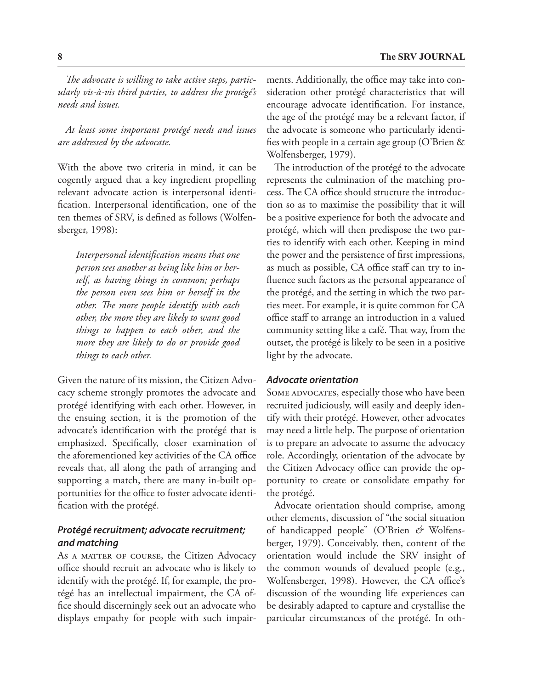*The advocate is willing to take active steps, particularly vis-à-vis third parties, to address the protégé's needs and issues.* 

*At least some important protégé needs and issues are addressed by the advocate.*

With the above two criteria in mind, it can be cogently argued that a key ingredient propelling relevant advocate action is interpersonal identification. Interpersonal identification, one of the ten themes of SRV, is defined as follows (Wolfensberger, 1998):

*Interpersonal identification means that one person sees another as being like him or herself, as having things in common; perhaps the person even sees him or herself in the other. The more people identify with each other, the more they are likely to want good things to happen to each other, and the more they are likely to do or provide good things to each other.*

Given the nature of its mission, the Citizen Advocacy scheme strongly promotes the advocate and protégé identifying with each other. However, in the ensuing section, it is the promotion of the advocate's identification with the protégé that is emphasized. Specifically, closer examination of the aforementioned key activities of the CA office reveals that, all along the path of arranging and supporting a match, there are many in-built opportunities for the office to foster advocate identification with the protégé.

## *Protégé recruitment; advocate recruitment; and matching*

As A MATTER OF COURSE, the Citizen Advocacy office should recruit an advocate who is likely to identify with the protégé. If, for example, the protégé has an intellectual impairment, the CA office should discerningly seek out an advocate who displays empathy for people with such impairments. Additionally, the office may take into consideration other protégé characteristics that will encourage advocate identification. For instance, the age of the protégé may be a relevant factor, if the advocate is someone who particularly identifies with people in a certain age group (O'Brien & Wolfensberger, 1979).

The introduction of the protégé to the advocate represents the culmination of the matching process. The CA office should structure the introduction so as to maximise the possibility that it will be a positive experience for both the advocate and protégé, which will then predispose the two parties to identify with each other. Keeping in mind the power and the persistence of first impressions, as much as possible, CA office staff can try to influence such factors as the personal appearance of the protégé, and the setting in which the two parties meet. For example, it is quite common for CA office staff to arrange an introduction in a valued community setting like a café. That way, from the outset, the protégé is likely to be seen in a positive light by the advocate.

#### *Advocate orientation*

SOME ADVOCATES, especially those who have been recruited judiciously, will easily and deeply identify with their protégé. However, other advocates may need a little help. The purpose of orientation is to prepare an advocate to assume the advocacy role. Accordingly, orientation of the advocate by the Citizen Advocacy office can provide the opportunity to create or consolidate empathy for the protégé.

Advocate orientation should comprise, among other elements, discussion of "the social situation of handicapped people" (O'Brien *&* Wolfensberger, 1979). Conceivably, then, content of the orientation would include the SRV insight of the common wounds of devalued people (e.g., Wolfensberger, 1998). However, the CA office's discussion of the wounding life experiences can be desirably adapted to capture and crystallise the particular circumstances of the protégé. In oth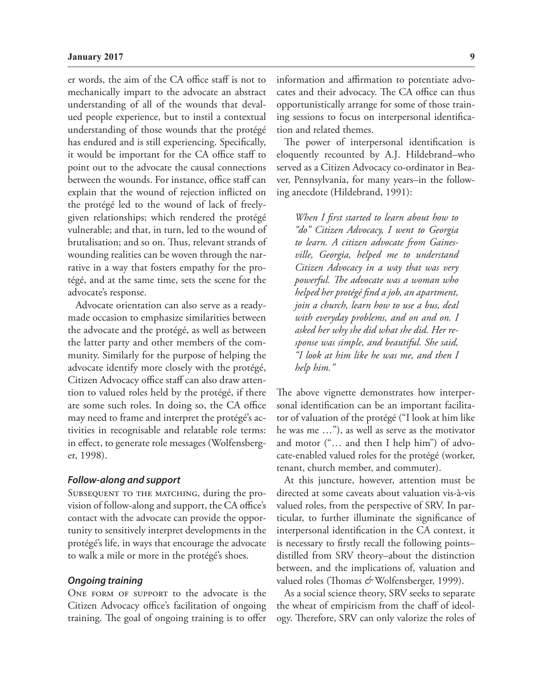er words, the aim of the CA office staff is not to mechanically impart to the advocate an abstract understanding of all of the wounds that devalued people experience, but to instil a contextual understanding of those wounds that the protégé has endured and is still experiencing. Specifically, it would be important for the CA office staff to point out to the advocate the causal connections between the wounds. For instance, office staff can explain that the wound of rejection inflicted on the protégé led to the wound of lack of freelygiven relationships; which rendered the protégé vulnerable; and that, in turn, led to the wound of brutalisation; and so on. Thus, relevant strands of wounding realities can be woven through the narrative in a way that fosters empathy for the protégé, and at the same time, sets the scene for the advocate's response.

Advocate orientation can also serve as a readymade occasion to emphasize similarities between the advocate and the protégé, as well as between the latter party and other members of the community. Similarly for the purpose of helping the advocate identify more closely with the protégé, Citizen Advocacy office staff can also draw attention to valued roles held by the protégé, if there are some such roles. In doing so, the CA office may need to frame and interpret the protégé's activities in recognisable and relatable role terms: in effect, to generate role messages (Wolfensberger, 1998).

#### *Follow-along and support*

SUBSEQUENT TO THE MATCHING, during the provision of follow-along and support, the CA office's contact with the advocate can provide the opportunity to sensitively interpret developments in the protégé's life, in ways that encourage the advocate to walk a mile or more in the protégé's shoes.

#### *Ongoing training*

ONE FORM OF SUPPORT to the advocate is the Citizen Advocacy office's facilitation of ongoing training. The goal of ongoing training is to offer information and affirmation to potentiate advocates and their advocacy. The CA office can thus opportunistically arrange for some of those training sessions to focus on interpersonal identification and related themes.

The power of interpersonal identification is eloquently recounted by A.J. Hildebrand–who served as a Citizen Advocacy co-ordinator in Beaver, Pennsylvania, for many years–in the following anecdote (Hildebrand, 1991):

*When I first started to learn about how to "do" Citizen Advocacy, I went to Georgia to learn. A citizen advocate from Gainesville, Georgia, helped me to understand Citizen Advocacy in a way that was very powerful. The advocate was a woman who helped her protégé find a job, an apartment, join a church, learn how to use a bus, deal with everyday problems, and on and on. I asked her why she did what she did. Her response was simple, and beautiful. She said, "I look at him like he was me, and then I help him."* 

The above vignette demonstrates how interpersonal identification can be an important facilitator of valuation of the protégé ("I look at him like he was me …"), as well as serve as the motivator and motor ("… and then I help him") of advocate-enabled valued roles for the protégé (worker, tenant, church member, and commuter).

At this juncture, however, attention must be directed at some caveats about valuation vis-à-vis valued roles, from the perspective of SRV. In particular, to further illuminate the significance of interpersonal identification in the CA context, it is necessary to firstly recall the following points– distilled from SRV theory–about the distinction between, and the implications of, valuation and valued roles (Thomas & Wolfensberger, 1999).

As a social science theory, SRV seeks to separate the wheat of empiricism from the chaff of ideology. Therefore, SRV can only valorize the roles of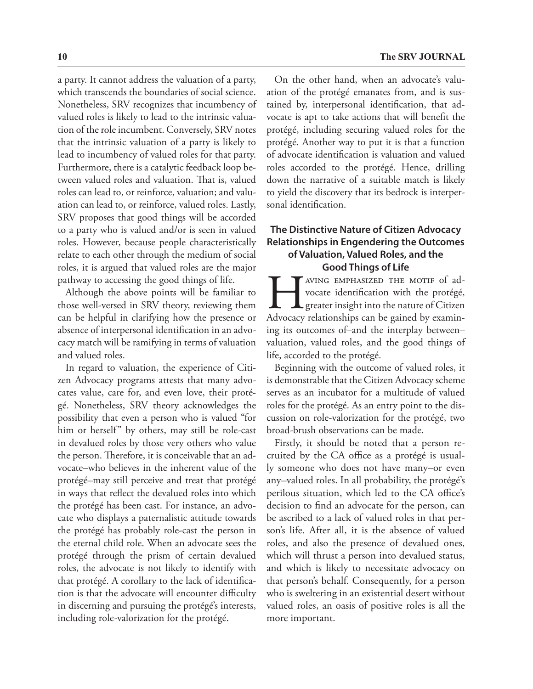a party. It cannot address the valuation of a party, which transcends the boundaries of social science. Nonetheless, SRV recognizes that incumbency of valued roles is likely to lead to the intrinsic valuation of the role incumbent. Conversely, SRV notes that the intrinsic valuation of a party is likely to lead to incumbency of valued roles for that party. Furthermore, there is a catalytic feedback loop between valued roles and valuation. That is, valued roles can lead to, or reinforce, valuation; and valuation can lead to, or reinforce, valued roles. Lastly, SRV proposes that good things will be accorded to a party who is valued and/or is seen in valued roles. However, because people characteristically relate to each other through the medium of social roles, it is argued that valued roles are the major pathway to accessing the good things of life.

Although the above points will be familiar to those well-versed in SRV theory, reviewing them can be helpful in clarifying how the presence or absence of interpersonal identification in an advocacy match will be ramifying in terms of valuation and valued roles.

In regard to valuation, the experience of Citizen Advocacy programs attests that many advocates value, care for, and even love, their protégé. Nonetheless, SRV theory acknowledges the possibility that even a person who is valued "for him or herself" by others, may still be role-cast in devalued roles by those very others who value the person. Therefore, it is conceivable that an advocate–who believes in the inherent value of the protégé–may still perceive and treat that protégé in ways that reflect the devalued roles into which the protégé has been cast. For instance, an advocate who displays a paternalistic attitude towards the protégé has probably role-cast the person in the eternal child role. When an advocate sees the protégé through the prism of certain devalued roles, the advocate is not likely to identify with that protégé. A corollary to the lack of identification is that the advocate will encounter difficulty in discerning and pursuing the protégé's interests, including role-valorization for the protégé.

On the other hand, when an advocate's valuation of the protégé emanates from, and is sustained by, interpersonal identification, that advocate is apt to take actions that will benefit the protégé, including securing valued roles for the protégé. Another way to put it is that a function of advocate identification is valuation and valued roles accorded to the protégé. Hence, drilling down the narrative of a suitable match is likely to yield the discovery that its bedrock is interpersonal identification.

## **The Distinctive Nature of Citizen Advocacy Relationships in Engendering the Outcomes of Valuation, Valued Roles, and the Good Things of Life**

AVING EMPHASIZED THE MOTIF of advocate identification with the protégé, greater insight into the nature of Citizen Advocacy relationships can be gained by examinvocate identification with the protégé, greater insight into the nature of Citizen Advocacy relationships can be gained by examining its outcomes of–and the interplay between– valuation, valued roles, and the good things of life, accorded to the protégé.

Beginning with the outcome of valued roles, it is demonstrable that the Citizen Advocacy scheme serves as an incubator for a multitude of valued roles for the protégé. As an entry point to the discussion on role-valorization for the protégé, two broad-brush observations can be made.

Firstly, it should be noted that a person recruited by the CA office as a protégé is usually someone who does not have many–or even any–valued roles. In all probability, the protégé's perilous situation, which led to the CA office's decision to find an advocate for the person, can be ascribed to a lack of valued roles in that person's life. After all, it is the absence of valued roles, and also the presence of devalued ones, which will thrust a person into devalued status, and which is likely to necessitate advocacy on that person's behalf. Consequently, for a person who is sweltering in an existential desert without valued roles, an oasis of positive roles is all the more important.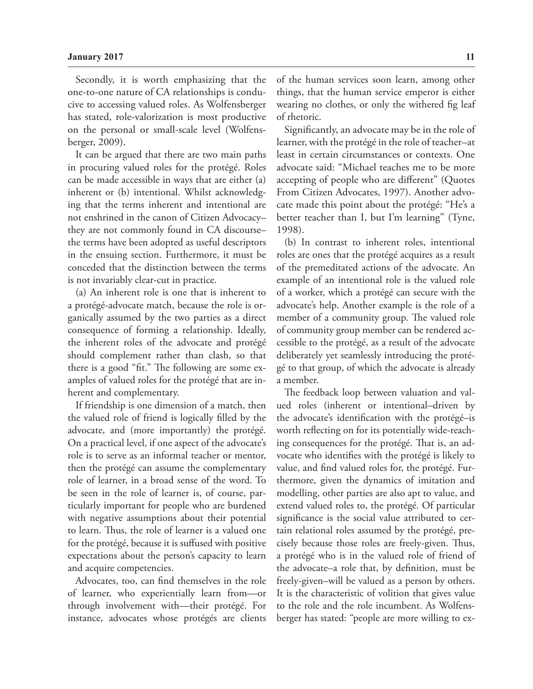Secondly, it is worth emphasizing that the one-to-one nature of CA relationships is conducive to accessing valued roles. As Wolfensberger has stated, role-valorization is most productive on the personal or small-scale level (Wolfensberger, 2009).

It can be argued that there are two main paths in procuring valued roles for the protégé. Roles can be made accessible in ways that are either (a) inherent or (b) intentional. Whilst acknowledging that the terms inherent and intentional are not enshrined in the canon of Citizen Advocacy– they are not commonly found in CA discourse– the terms have been adopted as useful descriptors in the ensuing section. Furthermore, it must be conceded that the distinction between the terms is not invariably clear-cut in practice.

(a) An inherent role is one that is inherent to a protégé-advocate match, because the role is organically assumed by the two parties as a direct consequence of forming a relationship. Ideally, the inherent roles of the advocate and protégé should complement rather than clash, so that there is a good "fit." The following are some examples of valued roles for the protégé that are inherent and complementary.

If friendship is one dimension of a match, then the valued role of friend is logically filled by the advocate, and (more importantly) the protégé. On a practical level, if one aspect of the advocate's role is to serve as an informal teacher or mentor, then the protégé can assume the complementary role of learner, in a broad sense of the word. To be seen in the role of learner is, of course, particularly important for people who are burdened with negative assumptions about their potential to learn. Thus, the role of learner is a valued one for the protégé, because it is suffused with positive expectations about the person's capacity to learn and acquire competencies.

Advocates, too, can find themselves in the role of learner, who experientially learn from—or through involvement with—their protégé. For instance, advocates whose protégés are clients

of the human services soon learn, among other things, that the human service emperor is either wearing no clothes, or only the withered fig leaf of rhetoric.

Significantly, an advocate may be in the role of learner, with the protégé in the role of teacher–at least in certain circumstances or contexts. One advocate said: "Michael teaches me to be more accepting of people who are different" (Quotes From Citizen Advocates, 1997). Another advocate made this point about the protégé: "He's a better teacher than I, but I'm learning" (Tyne, 1998).

(b) In contrast to inherent roles, intentional roles are ones that the protégé acquires as a result of the premeditated actions of the advocate. An example of an intentional role is the valued role of a worker, which a protégé can secure with the advocate's help. Another example is the role of a member of a community group. The valued role of community group member can be rendered accessible to the protégé, as a result of the advocate deliberately yet seamlessly introducing the protégé to that group, of which the advocate is already a member.

The feedback loop between valuation and valued roles (inherent or intentional–driven by the advocate's identification with the protégé–is worth reflecting on for its potentially wide-reaching consequences for the protégé. That is, an advocate who identifies with the protégé is likely to value, and find valued roles for, the protégé. Furthermore, given the dynamics of imitation and modelling, other parties are also apt to value, and extend valued roles to, the protégé. Of particular significance is the social value attributed to certain relational roles assumed by the protégé, precisely because those roles are freely-given. Thus, a protégé who is in the valued role of friend of the advocate–a role that, by definition, must be freely-given–will be valued as a person by others. It is the characteristic of volition that gives value to the role and the role incumbent. As Wolfensberger has stated: "people are more willing to ex-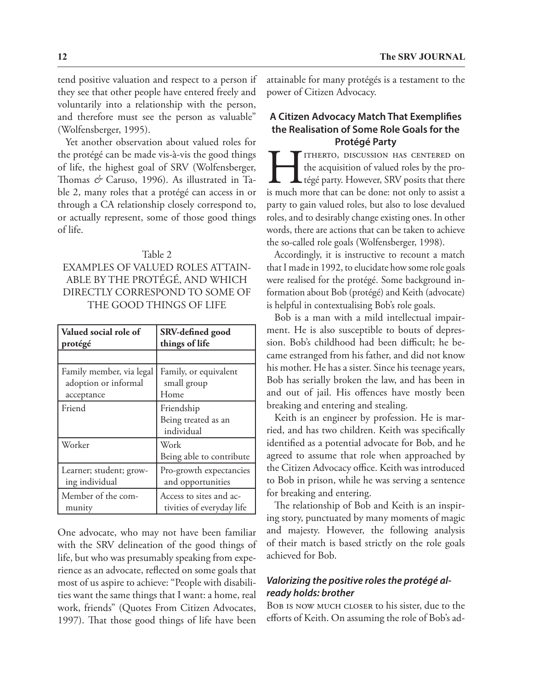tend positive valuation and respect to a person if they see that other people have entered freely and voluntarily into a relationship with the person, and therefore must see the person as valuable" (Wolfensberger, 1995).

Yet another observation about valued roles for the protégé can be made vis-à-vis the good things of life, the highest goal of SRV (Wolfensberger, Thomas *&* Caruso, 1996). As illustrated in Table 2, many roles that a protégé can access in or through a CA relationship closely correspond to, or actually represent, some of those good things of life.

#### Table 2

## EXAMPLES OF VALUED ROLES ATTAIN-ABLE BY THE PROTÉGÉ, AND WHICH DIRECTLY CORRESPOND TO SOME OF THE GOOD THINGS OF LIFE

| Valued social role of    | SRV-defined good                                |
|--------------------------|-------------------------------------------------|
| protégé                  | things of life                                  |
|                          |                                                 |
| Family member, via legal | Family, or equivalent                           |
| adoption or informal     | small group                                     |
| acceptance               | Home                                            |
| Friend                   | Friendship<br>Being treated as an<br>individual |
| Worker                   | Work<br>Being able to contribute                |
| Learner; student; grow-  | Pro-growth expectancies                         |
| ing individual           | and opportunities                               |
| Member of the com-       | Access to sites and ac-                         |
| munity                   | tivities of everyday life                       |

One advocate, who may not have been familiar with the SRV delineation of the good things of life, but who was presumably speaking from experience as an advocate, reflected on some goals that most of us aspire to achieve: "People with disabilities want the same things that I want: a home, real work, friends" (Quotes From Citizen Advocates, 1997). That those good things of life have been

attainable for many protégés is a testament to the power of Citizen Advocacy.

## **A Citizen Advocacy Match That Exemplifies the Realisation of Some Role Goals for the Protégé Party**

TITHERTO, DISCUSSION HAS CENTERED ON<br>the acquisition of valued roles by the pro-<br>tégé party. However, SRV posits that there<br>is much more that can be done: not only to assist a the acquisition of valued roles by the protégé party. However, SRV posits that there is much more that can be done: not only to assist a party to gain valued roles, but also to lose devalued roles, and to desirably change existing ones. In other words, there are actions that can be taken to achieve the so-called role goals (Wolfensberger, 1998).

Accordingly, it is instructive to recount a match that I made in 1992, to elucidate how some role goals were realised for the protégé. Some background information about Bob (protégé) and Keith (advocate) is helpful in contextualising Bob's role goals.

Bob is a man with a mild intellectual impairment. He is also susceptible to bouts of depression. Bob's childhood had been difficult; he became estranged from his father, and did not know his mother. He has a sister. Since his teenage years, Bob has serially broken the law, and has been in and out of jail. His offences have mostly been breaking and entering and stealing.

Keith is an engineer by profession. He is married, and has two children. Keith was specifically identified as a potential advocate for Bob, and he agreed to assume that role when approached by the Citizen Advocacy office. Keith was introduced to Bob in prison, while he was serving a sentence for breaking and entering.

The relationship of Bob and Keith is an inspiring story, punctuated by many moments of magic and majesty. However, the following analysis of their match is based strictly on the role goals achieved for Bob.

## *Valorizing the positive roles the protégé already holds: brother*

Bob is now much closer to his sister, due to the efforts of Keith. On assuming the role of Bob's ad-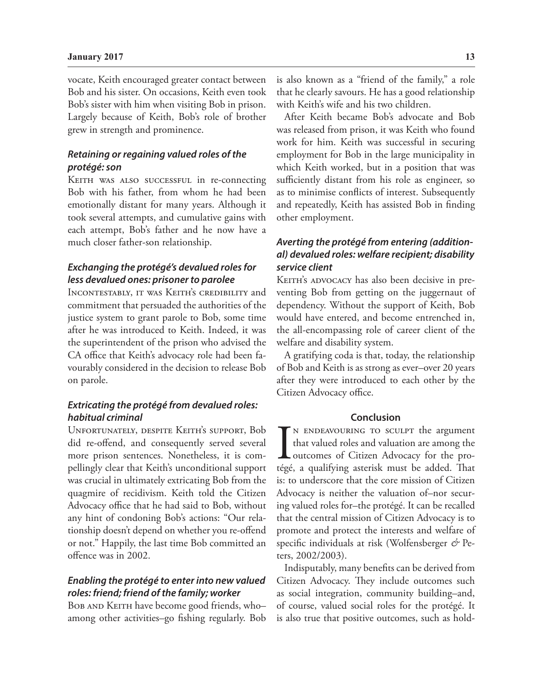#### **January 2017 13**

vocate, Keith encouraged greater contact between Bob and his sister. On occasions, Keith even took Bob's sister with him when visiting Bob in prison. Largely because of Keith, Bob's role of brother grew in strength and prominence.

## *Retaining or regaining valued roles of the protégé: son*

KEITH WAS ALSO SUCCESSFUL in re-connecting Bob with his father, from whom he had been emotionally distant for many years. Although it took several attempts, and cumulative gains with each attempt, Bob's father and he now have a much closer father-son relationship.

## *Exchanging the protégé's devalued roles for less devalued ones: prisoner to parolee*

Incontestably, it was Keith's credibility and commitment that persuaded the authorities of the justice system to grant parole to Bob, some time after he was introduced to Keith. Indeed, it was the superintendent of the prison who advised the CA office that Keith's advocacy role had been favourably considered in the decision to release Bob on parole.

#### *Extricating the protégé from devalued roles: habitual criminal*

Unfortunately, despite Keith's support, Bob did re-offend, and consequently served several more prison sentences. Nonetheless, it is compellingly clear that Keith's unconditional support was crucial in ultimately extricating Bob from the quagmire of recidivism. Keith told the Citizen Advocacy office that he had said to Bob, without any hint of condoning Bob's actions: "Our relationship doesn't depend on whether you re-offend or not." Happily, the last time Bob committed an offence was in 2002.

## *Enabling the protégé to enter into new valued roles: friend; friend of the family; worker*

BOB AND KEITH have become good friends, who– among other activities–go fishing regularly. Bob is also known as a "friend of the family," a role that he clearly savours. He has a good relationship with Keith's wife and his two children.

After Keith became Bob's advocate and Bob was released from prison, it was Keith who found work for him. Keith was successful in securing employment for Bob in the large municipality in which Keith worked, but in a position that was sufficiently distant from his role as engineer, so as to minimise conflicts of interest. Subsequently and repeatedly, Keith has assisted Bob in finding other employment.

## *Averting the protégé from entering (additional) devalued roles: welfare recipient; disability service client*

KEITH's ADVOCACY has also been decisive in preventing Bob from getting on the juggernaut of dependency. Without the support of Keith, Bob would have entered, and become entrenched in, the all-encompassing role of career client of the welfare and disability system.

A gratifying coda is that, today, the relationship of Bob and Keith is as strong as ever–over 20 years after they were introduced to each other by the Citizen Advocacy office.

#### **Conclusion**

 $\prod_{\substack{\text{tégé}}}$ N ENDEAVOURING TO SCULPT the argument that valued roles and valuation are among the outcomes of Citizen Advocacy for the protégé, a qualifying asterisk must be added. That is: to underscore that the core mission of Citizen Advocacy is neither the valuation of–nor securing valued roles for–the protégé. It can be recalled that the central mission of Citizen Advocacy is to promote and protect the interests and welfare of specific individuals at risk (Wolfensberger *&* Peters, 2002/2003).

Indisputably, many benefits can be derived from Citizen Advocacy. They include outcomes such as social integration, community building–and, of course, valued social roles for the protégé. It is also true that positive outcomes, such as hold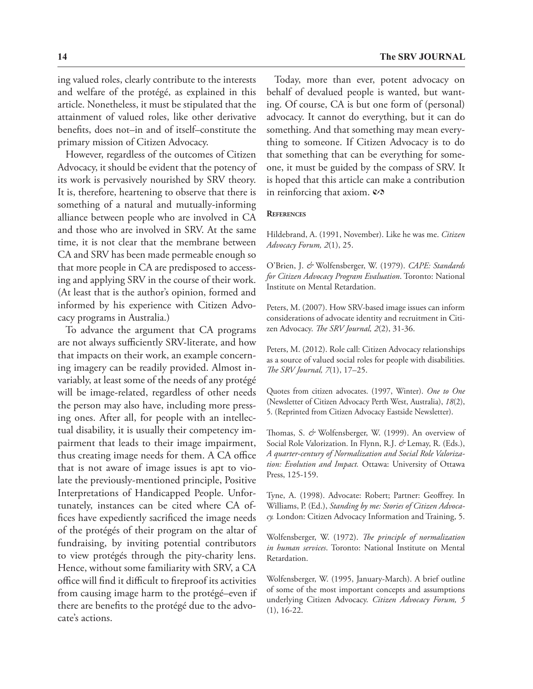ing valued roles, clearly contribute to the interests and welfare of the protégé, as explained in this article. Nonetheless, it must be stipulated that the attainment of valued roles, like other derivative benefits, does not–in and of itself–constitute the primary mission of Citizen Advocacy.

However, regardless of the outcomes of Citizen Advocacy, it should be evident that the potency of its work is pervasively nourished by SRV theory. It is, therefore, heartening to observe that there is something of a natural and mutually-informing alliance between people who are involved in CA and those who are involved in SRV. At the same time, it is not clear that the membrane between CA and SRV has been made permeable enough so that more people in CA are predisposed to accessing and applying SRV in the course of their work. (At least that is the author's opinion, formed and informed by his experience with Citizen Advocacy programs in Australia.)

To advance the argument that CA programs are not always sufficiently SRV-literate, and how that impacts on their work, an example concerning imagery can be readily provided. Almost invariably, at least some of the needs of any protégé will be image-related, regardless of other needs the person may also have, including more pressing ones. After all, for people with an intellectual disability, it is usually their competency impairment that leads to their image impairment, thus creating image needs for them. A CA office that is not aware of image issues is apt to violate the previously-mentioned principle, Positive Interpretations of Handicapped People. Unfortunately, instances can be cited where CA offices have expediently sacrificed the image needs of the protégés of their program on the altar of fundraising, by inviting potential contributors to view protégés through the pity-charity lens. Hence, without some familiarity with SRV, a CA office will find it difficult to fireproof its activities from causing image harm to the protégé–even if there are benefits to the protégé due to the advocate's actions.

Today, more than ever, potent advocacy on behalf of devalued people is wanted, but wanting. Of course, CA is but one form of (personal) advocacy. It cannot do everything, but it can do something. And that something may mean everything to someone. If Citizen Advocacy is to do that something that can be everything for someone, it must be guided by the compass of SRV. It is hoped that this article can make a contribution in reinforcing that axiom.  $\mathcal{O}$ 

#### **References**

Hildebrand, A. (1991, November). Like he was me. *Citizen Advocacy Forum, 2*(1), 25.

O'Brien, J. *&* Wolfensberger, W. (1979). *CAPE: Standards for Citizen Advocacy Program Evaluation*. Toronto: National Institute on Mental Retardation.

Peters, M. (2007). How SRV-based image issues can inform considerations of advocate identity and recruitment in Citizen Advocacy. *The SRV Journal, 2*(2), 31-36.

Peters, M. (2012). Role call: Citizen Advocacy relationships as a source of valued social roles for people with disabilities. *The SRV Journal, 7*(1), 17–25.

Quotes from citizen advocates. (1997, Winter). *One to One*  (Newsletter of Citizen Advocacy Perth West, Australia), *18*(2), 5. (Reprinted from Citizen Advocacy Eastside Newsletter).

Thomas, S. *&* Wolfensberger, W. (1999). An overview of Social Role Valorization. In Flynn, R.J. *&* Lemay, R. (Eds.), *A quarter-century of Normalization and Social Role Valorization: Evolution and Impact.* Ottawa: University of Ottawa Press, 125-159.

Tyne, A. (1998). Advocate: Robert; Partner: Geoffrey. In Williams, P. (Ed.), *Standing by me: Stories of Citizen Advocacy.* London: Citizen Advocacy Information and Training, 5.

Wolfensberger, W. (1972). *The principle of normalization in human services*. Toronto: National Institute on Mental Retardation.

Wolfensberger, W. (1995, January-March). A brief outline of some of the most important concepts and assumptions underlying Citizen Advocacy. *Citizen Advocacy Forum, 5*  (1), 16-22.